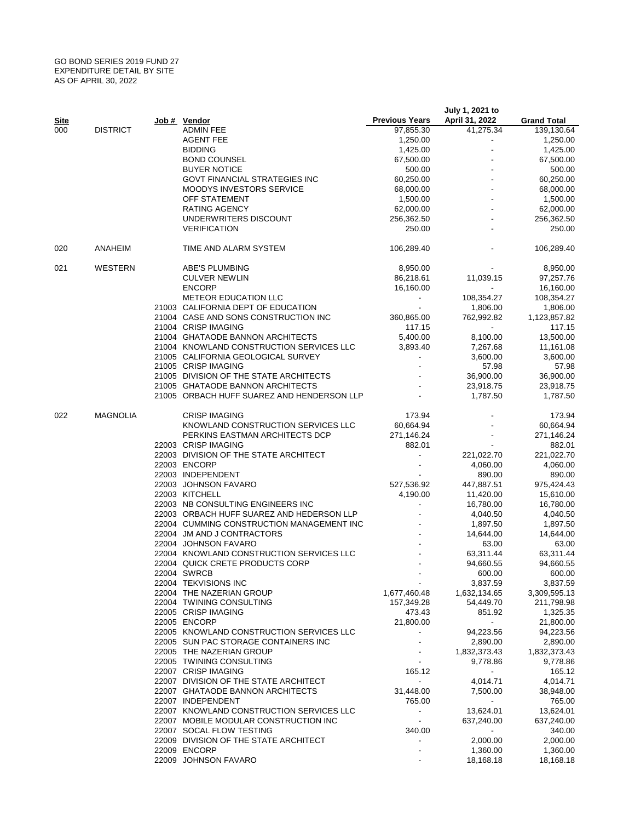## GO BOND SERIES 2019 FUND 27 EXPENDITURE DETAIL BY SITE AS OF APRIL 30, 2022

|      |                 |                                            |                          | July 1, 2021 to          |                    |
|------|-----------------|--------------------------------------------|--------------------------|--------------------------|--------------------|
| Site |                 | Job # Vendor                               | <b>Previous Years</b>    | April 31, 2022           | <b>Grand Total</b> |
| 000  | <b>DISTRICT</b> | <b>ADMIN FEE</b>                           | 97,855.30                | 41,275.34                | 139,130.64         |
|      |                 | <b>AGENT FEE</b>                           | 1,250.00                 | $\overline{\phantom{a}}$ | 1,250.00           |
|      |                 | <b>BIDDING</b>                             | 1,425.00                 |                          | 1,425.00           |
|      |                 | <b>BOND COUNSEL</b>                        | 67,500.00                |                          | 67,500.00          |
|      |                 | <b>BUYER NOTICE</b>                        | 500.00                   |                          | 500.00             |
|      |                 | <b>GOVT FINANCIAL STRATEGIES INC</b>       | 60,250.00                |                          | 60,250.00          |
|      |                 | <b>MOODYS INVESTORS SERVICE</b>            | 68,000.00                |                          | 68,000.00          |
|      |                 | OFF STATEMENT                              | 1,500.00                 |                          | 1,500.00           |
|      |                 | <b>RATING AGENCY</b>                       | 62,000.00                |                          | 62,000.00          |
|      |                 | UNDERWRITERS DISCOUNT                      | 256,362.50               |                          | 256,362.50         |
|      |                 | <b>VERIFICATION</b>                        | 250.00                   |                          | 250.00             |
| 020  | <b>ANAHEIM</b>  | TIME AND ALARM SYSTEM                      | 106,289.40               |                          | 106,289.40         |
| 021  | WESTERN         | ABE'S PLUMBING                             | 8,950.00                 |                          | 8,950.00           |
|      |                 | <b>CULVER NEWLIN</b>                       | 86,218.61                | 11,039.15                | 97,257.76          |
|      |                 | <b>ENCORP</b>                              | 16,160.00                | $\sim$                   | 16,160.00          |
|      |                 | <b>METEOR EDUCATION LLC</b>                |                          | 108,354.27               | 108,354.27         |
|      |                 | 21003 CALIFORNIA DEPT OF EDUCATION         | $\sim$                   | 1,806.00                 | 1,806.00           |
|      |                 | 21004 CASE AND SONS CONSTRUCTION INC       | 360,865.00               | 762,992.82               | 1,123,857.82       |
|      |                 | 21004 CRISP IMAGING                        |                          | $\sim$                   | 117.15             |
|      |                 |                                            | 117.15                   |                          |                    |
|      |                 | 21004 GHATAODE BANNON ARCHITECTS           | 5,400.00                 | 8,100.00                 | 13,500.00          |
|      |                 | 21004 KNOWLAND CONSTRUCTION SERVICES LLC   | 3.893.40                 | 7,267.68                 | 11,161.08          |
|      |                 | 21005 CALIFORNIA GEOLOGICAL SURVEY         |                          | 3,600.00                 | 3,600.00           |
|      |                 | 21005 CRISP IMAGING                        |                          | 57.98                    | 57.98              |
|      |                 | 21005 DIVISION OF THE STATE ARCHITECTS     |                          | 36,900.00                | 36,900.00          |
|      |                 | 21005 GHATAODE BANNON ARCHITECTS           |                          | 23,918.75                | 23,918.75          |
|      |                 | 21005 ORBACH HUFF SUAREZ AND HENDERSON LLP |                          | 1,787.50                 | 1,787.50           |
| 022  | <b>MAGNOLIA</b> | <b>CRISP IMAGING</b>                       | 173.94                   |                          | 173.94             |
|      |                 | KNOWLAND CONSTRUCTION SERVICES LLC         | 60,664.94                |                          | 60,664.94          |
|      |                 | PERKINS EASTMAN ARCHITECTS DCP             | 271,146.24               |                          | 271,146.24         |
|      |                 | 22003 CRISP IMAGING                        | 882.01                   |                          | 882.01             |
|      |                 | 22003 DIVISION OF THE STATE ARCHITECT      | $\blacksquare$           | 221,022.70               | 221,022.70         |
|      |                 | 22003 ENCORP                               |                          |                          | 4,060.00           |
|      |                 |                                            |                          | 4,060.00                 |                    |
|      |                 | 22003 INDEPENDENT                          |                          | 890.00                   | 890.00             |
|      |                 | 22003 JOHNSON FAVARO                       | 527,536.92               | 447,887.51               | 975,424.43         |
|      |                 | 22003 KITCHELL                             | 4,190.00                 | 11,420.00                | 15,610.00          |
|      |                 | 22003 NB CONSULTING ENGINEERS INC          | $\blacksquare$           | 16,780.00                | 16,780.00          |
|      |                 | 22003 ORBACH HUFF SUAREZ AND HEDERSON LLP  |                          | 4,040.50                 | 4,040.50           |
|      |                 | 22004 CUMMING CONSTRUCTION MANAGEMENT INC  |                          | 1,897.50                 | 1,897.50           |
|      |                 | 22004 JM AND J CONTRACTORS                 |                          | 14,644.00                | 14,644.00          |
|      |                 | 22004 JOHNSON FAVARO                       |                          | 63.00                    | 63.00              |
|      |                 | 22004 KNOWLAND CONSTRUCTION SERVICES LLC   |                          | 63,311.44                | 63,311.44          |
|      |                 | 22004 QUICK CRETE PRODUCTS CORP            |                          | 94.660.55                | 94,660.55          |
|      |                 | 22004 SWRCB                                |                          | 600.00                   | 600.00             |
|      |                 | 22004 TEKVISIONS INC                       |                          | 3,837.59                 | 3,837.59           |
|      |                 | 22004 THE NAZERIAN GROUP                   | 1,677,460.48             | 1,632,134.65             | 3,309,595.13       |
|      |                 | 22004 TWINING CONSULTING                   | 157,349.28               | 54,449.70                | 211,798.98         |
|      |                 | 22005 CRISP IMAGING                        | 473.43                   | 851.92                   | 1,325.35           |
|      |                 | 22005 ENCORP                               | 21,800.00                | $\sim$                   | 21,800.00          |
|      |                 | 22005 KNOWLAND CONSTRUCTION SERVICES LLC   | $\blacksquare$           | 94,223.56                | 94,223.56          |
|      |                 | 22005 SUN PAC STORAGE CONTAINERS INC       |                          | 2,890.00                 | 2,890.00           |
|      |                 | 22005 THE NAZERIAN GROUP                   |                          |                          |                    |
|      |                 |                                            | $\overline{\phantom{a}}$ | 1,832,373.43             | 1,832,373.43       |
|      |                 | 22005 TWINING CONSULTING                   |                          | 9,778.86                 | 9,778.86           |
|      |                 | 22007 CRISP IMAGING                        | 165.12                   | $\sim$                   | 165.12             |
|      |                 | 22007 DIVISION OF THE STATE ARCHITECT      | $\sim$                   | 4,014.71                 | 4,014.71           |
|      |                 | 22007 GHATAODE BANNON ARCHITECTS           | 31,448.00                | 7,500.00                 | 38,948.00          |
|      |                 | 22007 INDEPENDENT                          | 765.00                   | $\sim$                   | 765.00             |
|      |                 | 22007 KNOWLAND CONSTRUCTION SERVICES LLC   | $\sim$                   | 13,624.01                | 13,624.01          |
|      |                 | 22007 MOBILE MODULAR CONSTRUCTION INC      | $\overline{\phantom{a}}$ | 637,240.00               | 637,240.00         |
|      |                 | 22007 SOCAL FLOW TESTING                   | 340.00                   | $\sim$                   | 340.00             |
|      |                 | 22009 DIVISION OF THE STATE ARCHITECT      | $\overline{\phantom{a}}$ | 2,000.00                 | 2,000.00           |
|      |                 | 22009 ENCORP                               |                          | 1,360.00                 | 1,360.00           |
|      |                 | 22009 JOHNSON FAVARO                       |                          | 18,168.18                | 18,168.18          |
|      |                 |                                            |                          |                          |                    |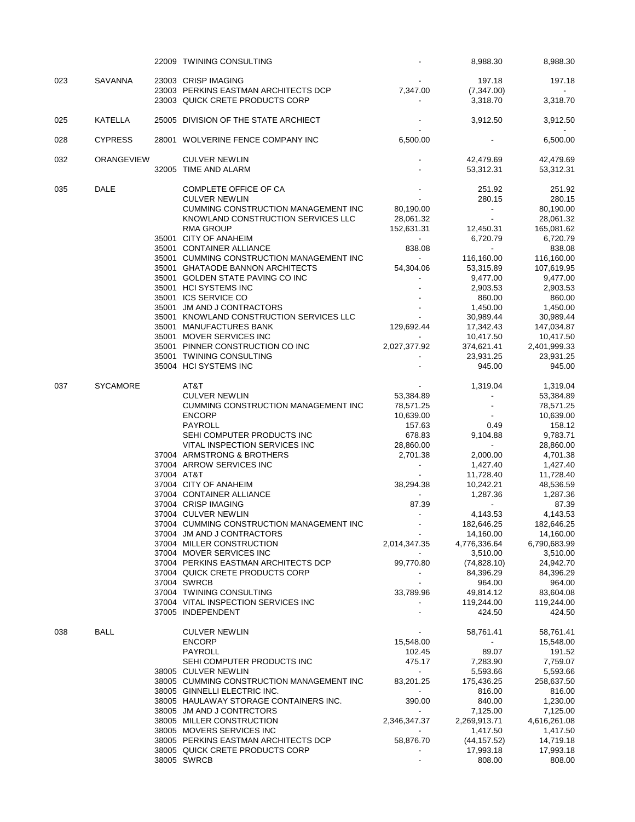|     |                   | 22009 TWINING CONSULTING                                               |                          | 8,988.30                    | 8,988.30                 |
|-----|-------------------|------------------------------------------------------------------------|--------------------------|-----------------------------|--------------------------|
| 023 | SAVANNA           | 23003 CRISP IMAGING                                                    |                          | 197.18                      | 197.18                   |
|     |                   | 23003 PERKINS EASTMAN ARCHITECTS DCP                                   | 7,347.00                 | (7,347.00)                  |                          |
|     |                   | 23003 QUICK CRETE PRODUCTS CORP                                        | $\blacksquare$           | 3,318.70                    | 3,318.70                 |
| 025 | KATELLA           | 25005 DIVISION OF THE STATE ARCHIECT                                   |                          | 3,912.50                    | 3,912.50                 |
| 028 | <b>CYPRESS</b>    | 28001 WOLVERINE FENCE COMPANY INC                                      | 6,500.00                 | $\overline{\phantom{a}}$    | 6,500.00                 |
| 032 | <b>ORANGEVIEW</b> | <b>CULVER NEWLIN</b>                                                   |                          | 42,479.69                   | 42,479.69                |
|     |                   | 32005 TIME AND ALARM                                                   |                          | 53,312.31                   | 53,312.31                |
| 035 | DALE              | <b>COMPLETE OFFICE OF CA</b>                                           |                          | 251.92                      | 251.92                   |
|     |                   | <b>CULVER NEWLIN</b>                                                   |                          | 280.15                      | 280.15                   |
|     |                   | <b>CUMMING CONSTRUCTION MANAGEMENT INC</b>                             | 80,190.00                | $\sim$                      | 80,190.00                |
|     |                   | KNOWLAND CONSTRUCTION SERVICES LLC<br><b>RMA GROUP</b>                 | 28,061.32<br>152,631.31  | $\blacksquare$<br>12,450.31 | 28,061.32<br>165,081.62  |
|     |                   | 35001 CITY OF ANAHEIM                                                  | $\sim$                   | 6,720.79                    | 6,720.79                 |
|     |                   | 35001 CONTAINER ALLIANCE                                               | 838.08                   | $\blacksquare$              | 838.08                   |
|     |                   | 35001 CUMMING CONSTRUCTION MANAGEMENT INC                              | $\sim$                   | 116,160.00                  | 116,160.00               |
|     |                   | 35001 GHATAODE BANNON ARCHITECTS                                       | 54,304.06                | 53,315.89                   | 107,619.95               |
|     |                   | 35001 GOLDEN STATE PAVING CO INC                                       |                          | 9,477.00                    | 9,477.00                 |
|     |                   | 35001 HCI SYSTEMS INC                                                  |                          | 2,903.53                    | 2,903.53                 |
|     |                   | 35001 ICS SERVICE CO                                                   |                          | 860.00                      | 860.00                   |
|     |                   | 35001 JM AND J CONTRACTORS<br>35001 KNOWLAND CONSTRUCTION SERVICES LLC |                          | 1,450.00<br>30,989.44       | 1,450.00<br>30,989.44    |
|     |                   | 35001 MANUFACTURES BANK                                                | 129,692.44               | 17,342.43                   | 147,034.87               |
|     |                   | 35001 MOVER SERVICES INC                                               |                          | 10,417.50                   | 10,417.50                |
|     |                   | 35001 PINNER CONSTRUCTION CO INC                                       | 2,027,377.92             | 374,621.41                  | 2,401,999.33             |
|     |                   | 35001 TWINING CONSULTING                                               |                          | 23,931.25                   | 23,931.25                |
|     |                   | 35004 HCI SYSTEMS INC                                                  |                          | 945.00                      | 945.00                   |
| 037 | <b>SYCAMORE</b>   | AT&T                                                                   |                          | 1,319.04                    | 1,319.04                 |
|     |                   | <b>CULVER NEWLIN</b>                                                   | 53,384.89                | $\overline{\phantom{a}}$    | 53,384.89                |
|     |                   | CUMMING CONSTRUCTION MANAGEMENT INC                                    | 78,571.25                |                             | 78,571.25                |
|     |                   | <b>ENCORP</b>                                                          | 10,639.00                |                             | 10,639.00                |
|     |                   | PAYROLL<br>SEHI COMPUTER PRODUCTS INC                                  | 157.63<br>678.83         | 0.49<br>9,104.88            | 158.12<br>9,783.71       |
|     |                   | VITAL INSPECTION SERVICES INC                                          | 28,860.00                | $\blacksquare$              | 28,860.00                |
|     |                   | 37004 ARMSTRONG & BROTHERS                                             | 2,701.38                 | 2,000.00                    | 4,701.38                 |
|     |                   | 37004 ARROW SERVICES INC                                               | $\sim$                   | 1,427.40                    | 1,427.40                 |
|     |                   | 37004 AT&T                                                             |                          | 11,728.40                   | 11,728.40                |
|     |                   | 37004 CITY OF ANAHEIM                                                  | 38,294.38                | 10,242.21                   | 48,536.59                |
|     |                   | 37004 CONTAINER ALLIANCE                                               | $\sim$                   | 1,287.36                    | 1,287.36                 |
|     |                   | 37004 CRISP IMAGING                                                    | 87.39                    | $\blacksquare$              | 87.39                    |
|     |                   | 37004 CULVER NEWLIN<br>37004 CUMMING CONSTRUCTION MANAGEMENT INC       | $\sim$                   | 4,143.53                    | 4,143.53<br>182,646.25   |
|     |                   | 37004 JM AND J CONTRACTORS                                             |                          | 182,646.25<br>14,160.00     | 14,160.00                |
|     |                   | 37004 MILLER CONSTRUCTION                                              | 2,014,347.35             | 4,776,336.64                | 6,790,683.99             |
|     |                   | 37004 MOVER SERVICES INC                                               |                          | 3,510.00                    | 3,510.00                 |
|     |                   | 37004 PERKINS EASTMAN ARCHITECTS DCP                                   | 99,770.80                | (74,828.10)                 | 24,942.70                |
|     |                   | 37004 QUICK CRETE PRODUCTS CORP                                        |                          | 84,396.29                   | 84,396.29                |
|     |                   | 37004 SWRCB                                                            | $\overline{\phantom{a}}$ | 964.00                      | 964.00                   |
|     |                   | 37004 TWINING CONSULTING                                               | 33,789.96                | 49,814.12                   | 83,604.08                |
|     |                   | 37004 VITAL INSPECTION SERVICES INC<br>37005 INDEPENDENT               |                          | 119,244.00<br>424.50        | 119,244.00<br>424.50     |
| 038 | BALL              | <b>CULVER NEWLIN</b>                                                   |                          | 58,761.41                   | 58,761.41                |
|     |                   | <b>ENCORP</b>                                                          | 15,548.00                | $\overline{\phantom{a}}$    | 15,548.00                |
|     |                   | PAYROLL                                                                | 102.45                   | 89.07                       | 191.52                   |
|     |                   | SEHI COMPUTER PRODUCTS INC                                             | 475.17                   | 7,283.90                    | 7,759.07                 |
|     |                   | 38005 CULVER NEWLIN                                                    | $\sim$                   | 5,593.66                    | 5,593.66                 |
|     |                   | 38005 CUMMING CONSTRUCTION MANAGEMENT INC                              | 83,201.25                | 175,436.25                  | 258,637.50               |
|     |                   | 38005 GINNELLI ELECTRIC INC.                                           |                          | 816.00                      | 816.00                   |
|     |                   | 38005 HAULAWAY STORAGE CONTAINERS INC.<br>38005 JM AND J CONTRCTORS    | 390.00                   | 840.00                      | 1,230.00                 |
|     |                   | 38005 MILLER CONSTRUCTION                                              | 2,346,347.37             | 7,125.00<br>2,269,913.71    | 7,125.00<br>4,616,261.08 |
|     |                   | 38005 MOVERS SERVICES INC                                              |                          | 1,417.50                    | 1,417.50                 |
|     |                   | 38005 PERKINS EASTMAN ARCHITECTS DCP                                   | 58,876.70                | (44, 157.52)                | 14,719.18                |
|     |                   | 38005 QUICK CRETE PRODUCTS CORP                                        |                          | 17,993.18                   | 17,993.18                |
|     |                   | 38005 SWRCB                                                            |                          | 808.00                      | 808.00                   |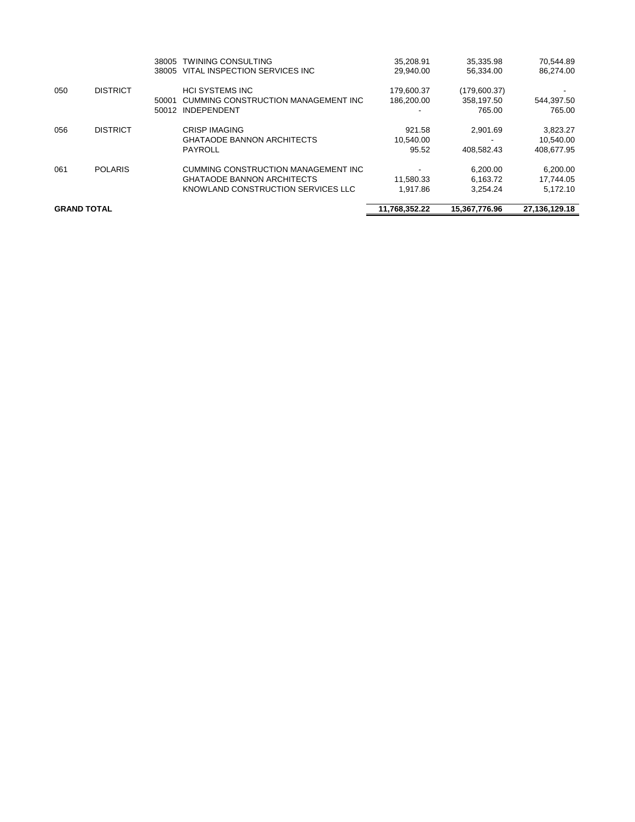| <b>GRAND TOTAL</b> |                 |       | 11,768,352.22                       | 15.367.776.96 | 27,136,129.18 |            |
|--------------------|-----------------|-------|-------------------------------------|---------------|---------------|------------|
|                    |                 |       | KNOWLAND CONSTRUCTION SERVICES LLC  | 1,917.86      | 3,254.24      | 5,172.10   |
|                    |                 |       | <b>GHATAODE BANNON ARCHITECTS</b>   | 11.580.33     | 6.163.72      | 17.744.05  |
| 061                | <b>POLARIS</b>  |       | CUMMING CONSTRUCTION MANAGEMENT INC |               | 6.200.00      | 6.200.00   |
|                    |                 |       | PAYROLL                             | 95.52         | 408.582.43    | 408.677.95 |
|                    |                 |       | <b>GHATAODE BANNON ARCHITECTS</b>   | 10.540.00     |               | 10.540.00  |
| 056                | <b>DISTRICT</b> |       | <b>CRISP IMAGING</b>                | 921.58        | 2.901.69      | 3,823.27   |
|                    |                 | 50012 | <b>INDEPENDENT</b>                  |               | 765.00        | 765.00     |
|                    |                 | 50001 | CUMMING CONSTRUCTION MANAGEMENT INC | 186.200.00    | 358.197.50    | 544,397.50 |
| 050                | <b>DISTRICT</b> |       | <b>HCI SYSTEMS INC</b>              | 179,600.37    | (179,600.37)  |            |
|                    |                 | 38005 | VITAL INSPECTION SERVICES INC       | 29.940.00     | 56.334.00     | 86.274.00  |
|                    |                 | 38005 | <b>TWINING CONSULTING</b>           | 35.208.91     | 35.335.98     | 70,544.89  |
|                    |                 |       |                                     |               |               |            |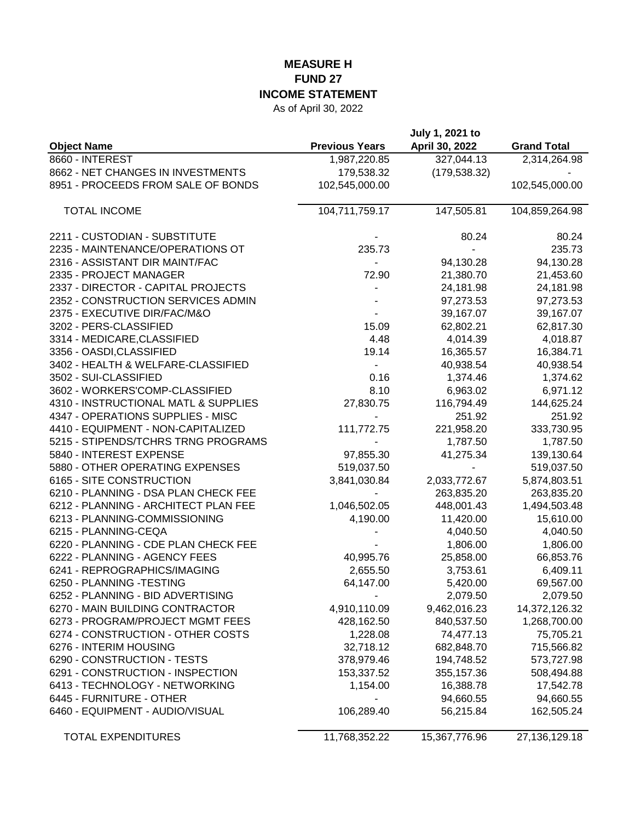## **MEASURE H FUND 27 INCOME STATEMENT**

As of April 30, 2022

| <b>Object Name</b>                   | <b>Previous Years</b> | July 1, 2021 to<br>April 30, 2022 | <b>Grand Total</b> |
|--------------------------------------|-----------------------|-----------------------------------|--------------------|
| 8660 - INTEREST                      | 1,987,220.85          | 327,044.13                        | 2,314,264.98       |
| 8662 - NET CHANGES IN INVESTMENTS    | 179,538.32            | (179, 538.32)                     |                    |
| 8951 - PROCEEDS FROM SALE OF BONDS   | 102,545,000.00        |                                   | 102,545,000.00     |
| <b>TOTAL INCOME</b>                  | 104,711,759.17        | 147,505.81                        | 104,859,264.98     |
| 2211 - CUSTODIAN - SUBSTITUTE        |                       | 80.24                             | 80.24              |
| 2235 - MAINTENANCE/OPERATIONS OT     | 235.73                |                                   | 235.73             |
| 2316 - ASSISTANT DIR MAINT/FAC       |                       | 94,130.28                         | 94,130.28          |
| 2335 - PROJECT MANAGER               | 72.90                 | 21,380.70                         | 21,453.60          |
| 2337 - DIRECTOR - CAPITAL PROJECTS   |                       | 24,181.98                         | 24,181.98          |
| 2352 - CONSTRUCTION SERVICES ADMIN   |                       | 97,273.53                         | 97,273.53          |
| 2375 - EXECUTIVE DIR/FAC/M&O         |                       | 39,167.07                         | 39,167.07          |
| 3202 - PERS-CLASSIFIED               | 15.09                 | 62,802.21                         | 62,817.30          |
| 3314 - MEDICARE, CLASSIFIED          | 4.48                  | 4,014.39                          | 4,018.87           |
| 3356 - OASDI, CLASSIFIED             | 19.14                 | 16,365.57                         | 16,384.71          |
| 3402 - HEALTH & WELFARE-CLASSIFIED   |                       | 40,938.54                         | 40,938.54          |
| 3502 - SUI-CLASSIFIED                | 0.16                  | 1,374.46                          | 1,374.62           |
| 3602 - WORKERS'COMP-CLASSIFIED       | 8.10                  | 6,963.02                          | 6,971.12           |
| 4310 - INSTRUCTIONAL MATL & SUPPLIES | 27,830.75             | 116,794.49                        | 144,625.24         |
| 4347 - OPERATIONS SUPPLIES - MISC    |                       | 251.92                            | 251.92             |
| 4410 - EQUIPMENT - NON-CAPITALIZED   | 111,772.75            | 221,958.20                        | 333,730.95         |
| 5215 - STIPENDS/TCHRS TRNG PROGRAMS  |                       | 1,787.50                          | 1,787.50           |
| 5840 - INTEREST EXPENSE              | 97,855.30             | 41,275.34                         | 139,130.64         |
| 5880 - OTHER OPERATING EXPENSES      | 519,037.50            |                                   | 519,037.50         |
| 6165 - SITE CONSTRUCTION             | 3,841,030.84          | 2,033,772.67                      | 5,874,803.51       |
| 6210 - PLANNING - DSA PLAN CHECK FEE |                       | 263,835.20                        | 263,835.20         |
| 6212 - PLANNING - ARCHITECT PLAN FEE | 1,046,502.05          | 448,001.43                        | 1,494,503.48       |
| 6213 - PLANNING-COMMISSIONING        | 4,190.00              | 11,420.00                         | 15,610.00          |
| 6215 - PLANNING-CEQA                 |                       | 4,040.50                          | 4,040.50           |
| 6220 - PLANNING - CDE PLAN CHECK FEE |                       | 1,806.00                          | 1,806.00           |
| 6222 - PLANNING - AGENCY FEES        | 40,995.76             | 25,858.00                         | 66,853.76          |
| 6241 - REPROGRAPHICS/IMAGING         | 2,655.50              | 3,753.61                          | 6,409.11           |
| 6250 - PLANNING - TESTING            | 64,147.00             | 5,420.00                          | 69,567.00          |
| 6252 - PLANNING - BID ADVERTISING    |                       | 2,079.50                          | 2,079.50           |
| 6270 - MAIN BUILDING CONTRACTOR      | 4,910,110.09          | 9,462,016.23                      | 14,372,126.32      |
| 6273 - PROGRAM/PROJECT MGMT FEES     | 428,162.50            | 840,537.50                        | 1,268,700.00       |
| 6274 - CONSTRUCTION - OTHER COSTS    | 1,228.08              | 74,477.13                         | 75,705.21          |
| 6276 - INTERIM HOUSING               | 32,718.12             | 682,848.70                        | 715,566.82         |
| 6290 - CONSTRUCTION - TESTS          | 378,979.46            | 194,748.52                        | 573,727.98         |
| 6291 - CONSTRUCTION - INSPECTION     | 153,337.52            | 355, 157.36                       | 508,494.88         |
| 6413 - TECHNOLOGY - NETWORKING       | 1,154.00              | 16,388.78                         | 17,542.78          |
| 6445 - FURNITURE - OTHER             |                       | 94,660.55                         | 94,660.55          |
| 6460 - EQUIPMENT - AUDIO/VISUAL      | 106,289.40            | 56,215.84                         | 162,505.24         |
| <b>TOTAL EXPENDITURES</b>            | 11,768,352.22         | 15,367,776.96                     | 27,136,129.18      |